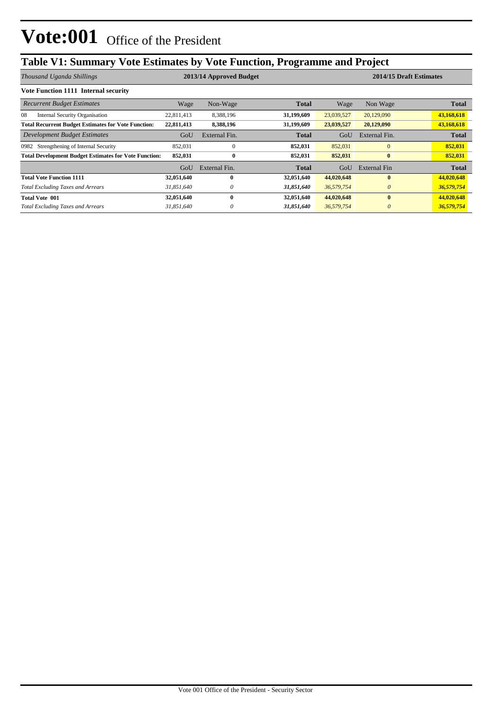# **Vote:001** Office of the President

## **Table V1: Summary Vote Estimates by Vote Function, Programme and Project**

| Thousand Uganda Shillings                                    |            | 2013/14 Approved Budget |              |            | 2014/15 Draft Estimates |              |  |
|--------------------------------------------------------------|------------|-------------------------|--------------|------------|-------------------------|--------------|--|
| <b>Vote Function 1111 Internal security</b>                  |            |                         |              |            |                         |              |  |
| <b>Recurrent Budget Estimates</b>                            | Wage       | Non-Wage                | <b>Total</b> | Wage       | Non Wage                | <b>Total</b> |  |
| <b>Internal Security Organisation</b><br>08                  | 22,811,413 | 8,388,196               | 31,199,609   | 23,039,527 | 20,129,090              | 43,168,618   |  |
| <b>Total Recurrent Budget Estimates for Vote Function:</b>   | 22,811,413 | 8,388,196               | 31,199,609   | 23,039,527 | 20,129,090              | 43,168,618   |  |
| <b>Development Budget Estimates</b>                          | GoU        | External Fin.           | <b>Total</b> | GoU        | External Fin.           | <b>Total</b> |  |
| Strengthening of Internal Security<br>0982                   | 852,031    | $\Omega$                | 852,031      | 852,031    | $\overline{0}$          | 852,031      |  |
| <b>Total Development Budget Estimates for Vote Function:</b> | 852,031    | $\bf{0}$                | 852,031      | 852,031    | $\bf{0}$                | 852,031      |  |
|                                                              | GoU        | External Fin.           | Total        | GoU        | External Fin            | <b>Total</b> |  |
| <b>Total Vote Function 1111</b>                              | 32,051,640 | 0                       | 32,051,640   | 44,020,648 | $\mathbf{0}$            | 44,020,648   |  |
| <b>Total Excluding Taxes and Arrears</b>                     | 31,851,640 | 0                       | 31,851,640   | 36,579,754 | $\theta$                | 36,579,754   |  |
| <b>Total Vote 001</b>                                        | 32,051,640 | 0                       | 32,051,640   | 44,020,648 | $\mathbf{0}$            | 44,020,648   |  |
| <b>Total Excluding Taxes and Arrears</b>                     | 31,851,640 |                         | 31,851,640   | 36,579,754 | $\theta$                | 36,579,754   |  |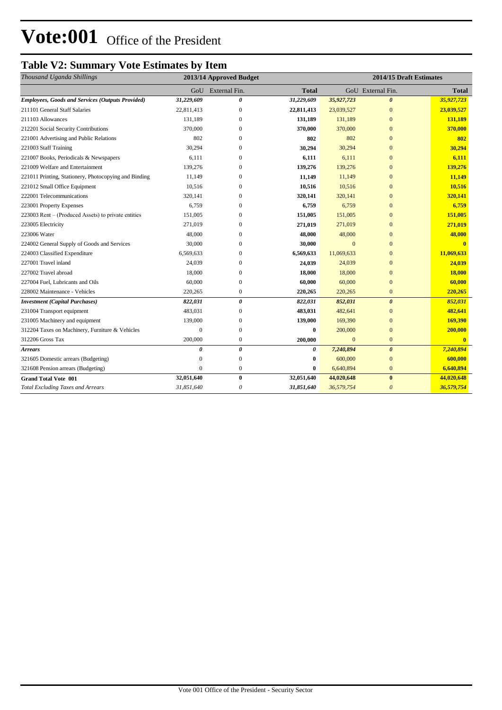# **Vote:001** Office of the President

### **Table V2: Summary Vote Estimates by Item**

| Thousand Uganda Shillings                               | 2013/14 Approved Budget |                   |              | 2014/15 Draft Estimates |                       |                         |  |
|---------------------------------------------------------|-------------------------|-------------------|--------------|-------------------------|-----------------------|-------------------------|--|
|                                                         |                         | GoU External Fin. | <b>Total</b> |                         | GoU External Fin.     | <b>Total</b>            |  |
| <b>Employees, Goods and Services (Outputs Provided)</b> | 31,229,609              | 0                 | 31,229,609   | 35,927,723              | $\boldsymbol{\theta}$ | 35,927,723              |  |
| 211101 General Staff Salaries                           | 22,811,413              | $\mathbf{0}$      | 22,811,413   | 23,039,527              | $\overline{0}$        | 23,039,527              |  |
| 211103 Allowances                                       | 131,189                 | $\Omega$          | 131,189      | 131,189                 | $\overline{0}$        | 131,189                 |  |
| 212201 Social Security Contributions                    | 370,000                 | $\mathbf{0}$      | 370,000      | 370,000                 | $\overline{0}$        | 370,000                 |  |
| 221001 Advertising and Public Relations                 | 802                     | $\Omega$          | 802          | 802                     | $\mathbf{0}$          | 802                     |  |
| 221003 Staff Training                                   | 30,294                  | $\mathbf{0}$      | 30,294       | 30,294                  | $\overline{0}$        | 30,294                  |  |
| 221007 Books, Periodicals & Newspapers                  | 6,111                   | 0                 | 6,111        | 6,111                   | $\mathbf{0}$          | 6,111                   |  |
| 221009 Welfare and Entertainment                        | 139,276                 | $\Omega$          | 139,276      | 139,276                 | $\mathbf{0}$          | 139,276                 |  |
| 221011 Printing, Stationery, Photocopying and Binding   | 11.149                  | $\Omega$          | 11,149       | 11.149                  | $\Omega$              | 11,149                  |  |
| 221012 Small Office Equipment                           | 10,516                  | $\Omega$          | 10,516       | 10,516                  | $\overline{0}$        | 10,516                  |  |
| 222001 Telecommunications                               | 320,141                 | $\Omega$          | 320,141      | 320,141                 | $\Omega$              | 320,141                 |  |
| 223001 Property Expenses                                | 6,759                   | $\Omega$          | 6,759        | 6,759                   | $\Omega$              | 6,759                   |  |
| 223003 Rent – (Produced Assets) to private entities     | 151,005                 | $\Omega$          | 151,005      | 151,005                 | $\overline{0}$        | 151,005                 |  |
| 223005 Electricity                                      | 271,019                 | $\Omega$          | 271,019      | 271,019                 | $\overline{0}$        | 271,019                 |  |
| 223006 Water                                            | 48,000                  | $\mathbf{0}$      | 48,000       | 48,000                  | $\overline{0}$        | 48,000                  |  |
| 224002 General Supply of Goods and Services             | 30,000                  | $\mathbf{0}$      | 30,000       | $\mathbf{0}$            | $\overline{0}$        | $\mathbf{0}$            |  |
| 224003 Classified Expenditure                           | 6,569,633               | $\Omega$          | 6,569,633    | 11,069,633              | $\overline{0}$        | 11,069,633              |  |
| 227001 Travel inland                                    | 24,039                  | $\mathbf{0}$      | 24,039       | 24,039                  | $\overline{0}$        | 24,039                  |  |
| 227002 Travel abroad                                    | 18,000                  | $\mathbf{0}$      | 18,000       | 18,000                  | $\overline{0}$        | 18,000                  |  |
| 227004 Fuel, Lubricants and Oils                        | 60,000                  | $\boldsymbol{0}$  | 60,000       | 60,000                  | $\overline{0}$        | 60,000                  |  |
| 228002 Maintenance - Vehicles                           | 220,265                 | $\mathbf{0}$      | 220,265      | 220,265                 | $\bf{0}$              | 220,265                 |  |
| <b>Investment</b> (Capital Purchases)                   | 822,031                 | 0                 | 822,031      | 852,031                 | $\boldsymbol{\theta}$ | 852,031                 |  |
| 231004 Transport equipment                              | 483,031                 | $\mathbf{0}$      | 483,031      | 482,641                 | $\overline{0}$        | 482,641                 |  |
| 231005 Machinery and equipment                          | 139,000                 | $\overline{0}$    | 139,000      | 169,390                 | $\overline{0}$        | 169,390                 |  |
| 312204 Taxes on Machinery, Furniture & Vehicles         | $\theta$                | $\mathbf{0}$      | $\bf{0}$     | 200,000                 | $\mathbf{0}$          | 200,000                 |  |
| 312206 Gross Tax                                        | 200,000                 | $\mathbf{0}$      | 200,000      | $\mathbf{0}$            | $\overline{0}$        | $\overline{\mathbf{0}}$ |  |
| <b>Arrears</b>                                          | 0                       | 0                 | 0            | 7,240,894               | $\theta$              | 7,240,894               |  |
| 321605 Domestic arrears (Budgeting)                     | $\Omega$                | $\mathbf{0}$      | $\bf{0}$     | 600,000                 | $\overline{0}$        | 600,000                 |  |
| 321608 Pension arrears (Budgeting)                      | $\theta$                | $\boldsymbol{0}$  | $\bf{0}$     | 6,640,894               | $\overline{0}$        | 6,640,894               |  |
| <b>Grand Total Vote 001</b>                             | 32,051,640              | $\bf{0}$          | 32,051,640   | 44,020,648              | $\bf{0}$              | 44,020,648              |  |
| <b>Total Excluding Taxes and Arrears</b>                | 31,851,640              | 0                 | 31,851,640   | 36,579,754              | $\theta$              | 36,579,754              |  |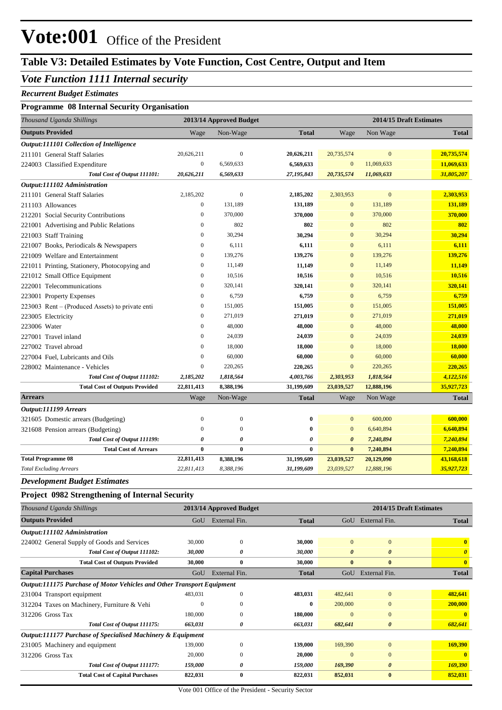# **Vote:001** Office of the President

## **Table V3: Detailed Estimates by Vote Function, Cost Centre, Output and Item**

### *Vote Function 1111 Internal security*

#### *Recurrent Budget Estimates*

#### **Programme 08 Internal Security Organisation**

| Thousand Uganda Shillings                                              |                  | 2013/14 Approved Budget |              | 2014/15 Draft Estimates |                       |                         |
|------------------------------------------------------------------------|------------------|-------------------------|--------------|-------------------------|-----------------------|-------------------------|
| <b>Outputs Provided</b>                                                | Wage             | Non-Wage                | <b>Total</b> | Wage                    | Non Wage              | <b>Total</b>            |
| Output:111101 Collection of Intelligence                               |                  |                         |              |                         |                       |                         |
| 211101 General Staff Salaries                                          | 20,626,211       | $\mathbf{0}$            | 20,626,211   | 20,735,574              | $\mathbf{0}$          | 20,735,574              |
| 224003 Classified Expenditure                                          | $\boldsymbol{0}$ | 6,569,633               | 6,569,633    | $\boldsymbol{0}$        | 11,069,633            | 11,069,633              |
| Total Cost of Output 111101:                                           | 20,626,211       | 6,569,633               | 27,195,843   | 20,735,574              | 11,069,633            | 31,805,207              |
| Output:111102 Administration                                           |                  |                         |              |                         |                       |                         |
| 211101 General Staff Salaries                                          | 2,185,202        | $\mathbf{0}$            | 2,185,202    | 2,303,953               | $\mathbf{0}$          | 2,303,953               |
| 211103 Allowances                                                      | 0                | 131,189                 | 131,189      | $\boldsymbol{0}$        | 131,189               | 131,189                 |
| 212201 Social Security Contributions                                   | $\boldsymbol{0}$ | 370,000                 | 370,000      | $\mathbf{0}$            | 370,000               | 370,000                 |
| 221001 Advertising and Public Relations                                | $\overline{0}$   | 802                     | 802          | $\mathbf{0}$            | 802                   | 802                     |
| 221003 Staff Training                                                  | $\overline{0}$   | 30,294                  | 30,294       | $\mathbf{0}$            | 30,294                | 30,294                  |
| 221007 Books, Periodicals & Newspapers                                 | 0                | 6,111                   | 6,111        | $\mathbf{0}$            | 6,111                 | 6,111                   |
| 221009 Welfare and Entertainment                                       | 0                | 139,276                 | 139,276      | $\mathbf{0}$            | 139,276               | 139,276                 |
| 221011 Printing, Stationery, Photocopying and                          | 0                | 11,149                  | 11,149       | $\mathbf{0}$            | 11,149                | 11,149                  |
| 221012 Small Office Equipment                                          | $\theta$         | 10,516                  | 10,516       | $\mathbf{0}$            | 10,516                | 10,516                  |
| 222001 Telecommunications                                              | $\overline{0}$   | 320,141                 | 320,141      | $\mathbf{0}$            | 320,141               | 320,141                 |
| 223001 Property Expenses                                               | $\theta$         | 6,759                   | 6,759        | $\mathbf{0}$            | 6,759                 | 6,759                   |
| 223003 Rent – (Produced Assets) to private enti                        | $\overline{0}$   | 151,005                 | 151,005      | $\mathbf{0}$            | 151,005               | 151,005                 |
| 223005 Electricity                                                     | $\theta$         | 271,019                 | 271,019      | $\mathbf{0}$            | 271,019               | 271,019                 |
| 223006 Water                                                           | $\theta$         | 48,000                  | 48,000       | $\mathbf{0}$            | 48,000                | 48,000                  |
| 227001 Travel inland                                                   | 0                | 24,039                  | 24,039       | $\mathbf{0}$            | 24,039                | 24,039                  |
| 227002 Travel abroad                                                   | $\theta$         | 18,000                  | 18,000       | $\mathbf{0}$            | 18,000                | 18,000                  |
| 227004 Fuel, Lubricants and Oils                                       | $\overline{0}$   | 60,000                  | 60,000       | $\mathbf{0}$            | 60,000                | 60,000                  |
| 228002 Maintenance - Vehicles                                          | 0                | 220,265                 | 220,265      | $\mathbf{0}$            | 220,265               | 220,265                 |
| Total Cost of Output 111102:                                           | 2,185,202        | 1,818,564               | 4,003,766    | 2,303,953               | 1,818,564             | 4,122,516               |
| <b>Total Cost of Outputs Provided</b>                                  | 22,811,413       | 8,388,196               | 31,199,609   | 23,039,527              | 12,888,196            | 35,927,723              |
| <b>Arrears</b>                                                         | Wage             | Non-Wage                | <b>Total</b> | Wage                    | Non Wage              | <b>Total</b>            |
| Output:111199 Arrears                                                  |                  |                         |              |                         |                       |                         |
| 321605 Domestic arrears (Budgeting)                                    | $\boldsymbol{0}$ | $\boldsymbol{0}$        | $\bf{0}$     | $\mathbf{0}$            | 600,000               | 600,000                 |
| 321608 Pension arrears (Budgeting)                                     | $\boldsymbol{0}$ | $\boldsymbol{0}$        | $\bf{0}$     | $\mathbf{0}$            | 6,640,894             | 6,640,894               |
| Total Cost of Output 111199:                                           | 0                | 0                       | 0            | $\boldsymbol{\theta}$   | 7,240,894             | 7,240,894               |
| <b>Total Cost of Arrears</b>                                           | $\bf{0}$         | $\bf{0}$                | $\bf{0}$     | $\bf{0}$                | 7,240,894             | 7,240,894               |
| <b>Total Programme 08</b>                                              | 22,811,413       | 8,388,196               | 31,199,609   | 23,039,527              | 20,129,090            | 43,168,618              |
| <b>Total Excluding Arrears</b>                                         | 22,811,413       | 8,388,196               | 31,199,609   | 23,039,527              | 12,888,196            | 35,927,723              |
| <b>Development Budget Estimates</b>                                    |                  |                         |              |                         |                       |                         |
| Project 0982 Strengthening of Internal Security                        |                  |                         |              |                         |                       |                         |
| Thousand Uganda Shillings                                              |                  | 2013/14 Approved Budget |              |                         |                       | 2014/15 Draft Estimates |
| <b>Outputs Provided</b>                                                |                  | GoU External Fin.       | <b>Total</b> |                         | GoU External Fin.     | Total                   |
| Output:111102 Administration                                           |                  |                         |              |                         |                       |                         |
| 224002 General Supply of Goods and Services                            | 30,000           | $\boldsymbol{0}$        | 30,000       | $\boldsymbol{0}$        | $\boldsymbol{0}$      | $\mathbf{0}$            |
| Total Cost of Output 111102:                                           | 30,000           | 0                       | 30,000       | $\boldsymbol{\theta}$   | $\boldsymbol{\theta}$ | $\boldsymbol{\theta}$   |
| <b>Total Cost of Outputs Provided</b>                                  | 30,000           | $\bf{0}$                | 30,000       | $\bf{0}$                | $\bf{0}$              | $\mathbf{0}$            |
| <b>Capital Purchases</b>                                               | GoU              | External Fin.           | <b>Total</b> |                         | GoU External Fin.     | <b>Total</b>            |
| Output:111175 Purchase of Motor Vehicles and Other Transport Equipment |                  |                         |              |                         |                       |                         |
| 231004 Transport equipment                                             | 483,031          | $\boldsymbol{0}$        | 483,031      | 482,641                 | $\boldsymbol{0}$      | 482,641                 |
| 312204 Taxes on Machinery, Furniture & Vehi                            | $\boldsymbol{0}$ | $\boldsymbol{0}$        | $\bf{0}$     | 200,000                 | $\boldsymbol{0}$      | 200,000                 |
| 312206 Gross Tax                                                       | 180,000          | $\boldsymbol{0}$        | 180,000      | $\mathbf{0}$            | $\boldsymbol{0}$      | $\mathbf{0}$            |
| Total Cost of Output 111175:                                           | 663,031          | 0                       | 663,031      | 682,641                 | $\boldsymbol{\theta}$ | 682,641                 |
| Output:111177 Purchase of Specialised Machinery & Equipment            |                  |                         |              |                         |                       |                         |
| 231005 Machinery and equipment                                         | 139,000          | $\boldsymbol{0}$        | 139,000      | 169,390                 | $\boldsymbol{0}$      | 169,390                 |
| 312206 Gross Tax                                                       | 20,000           | $\boldsymbol{0}$        | 20,000       | $\mathbf{0}$            | $\mathbf{0}$          |                         |
| Total Cost of Output 111177:                                           | 159,000          | 0                       | 159,000      | 169,390                 | $\pmb{\theta}$        | 169,390                 |

**Total Cost of Capital Purchases 822,031 0 822,031 852,031 0 852,031**